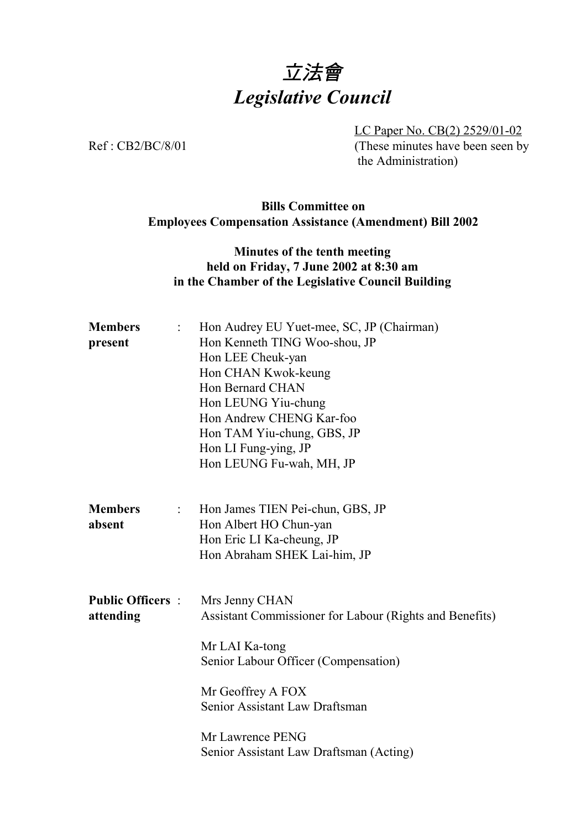# 立法會 *Legislative Council*

LC Paper No. CB(2) 2529/01-02 Ref : CB2/BC/8/01 (These minutes have been seen by the Administration)

# **Bills Committee on Employees Compensation Assistance (Amendment) Bill 2002**

## **Minutes of the tenth meeting held on Friday, 7 June 2002 at 8:30 am in the Chamber of the Legislative Council Building**

| <b>Members</b><br>$\ddot{\cdot}$              | Hon Audrey EU Yuet-mee, SC, JP (Chairman)               |
|-----------------------------------------------|---------------------------------------------------------|
| present                                       | Hon Kenneth TING Woo-shou, JP                           |
|                                               | Hon LEE Cheuk-yan                                       |
|                                               | Hon CHAN Kwok-keung                                     |
|                                               | Hon Bernard CHAN                                        |
|                                               | Hon LEUNG Yiu-chung                                     |
|                                               | Hon Andrew CHENG Kar-foo                                |
|                                               | Hon TAM Yiu-chung, GBS, JP                              |
|                                               | Hon LI Fung-ying, JP                                    |
|                                               | Hon LEUNG Fu-wah, MH, JP                                |
| <b>Members</b><br>$\mathbb{Z}^{\mathbb{Z}}$ . | Hon James TIEN Pei-chun, GBS, JP                        |
| absent                                        | Hon Albert HO Chun-yan                                  |
|                                               | Hon Eric LI Ka-cheung, JP                               |
|                                               | Hon Abraham SHEK Lai-him, JP                            |
|                                               |                                                         |
| <b>Public Officers :</b>                      | Mrs Jenny CHAN                                          |
| attending                                     | Assistant Commissioner for Labour (Rights and Benefits) |
|                                               | Mr LAI Ka-tong                                          |
|                                               | Senior Labour Officer (Compensation)                    |
|                                               | Mr Geoffrey A FOX                                       |
|                                               | Senior Assistant Law Draftsman                          |
|                                               | Mr Lawrence PENG                                        |
|                                               | Senior Assistant Law Draftsman (Acting)                 |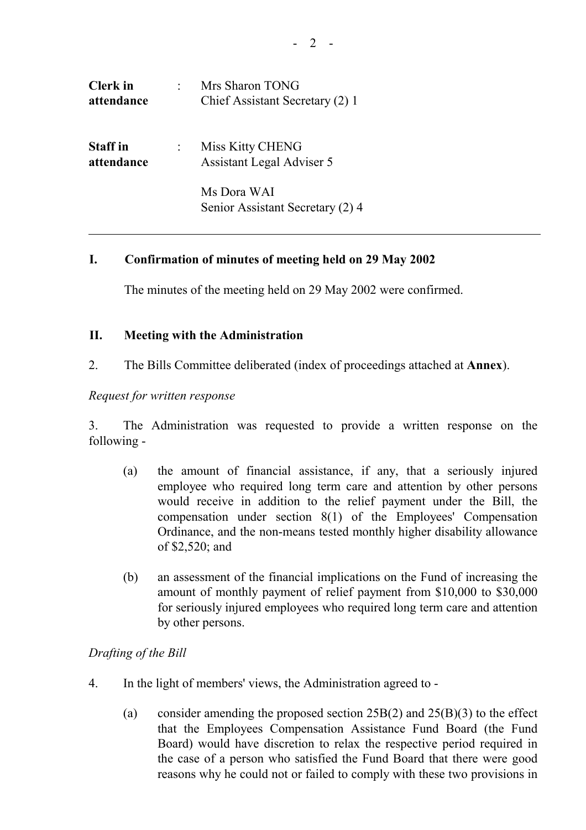| <b>Clerk</b> in<br>attendance | Mrs Sharon TONG<br>Chief Assistant Secretary (2) 1 |
|-------------------------------|----------------------------------------------------|
| <b>Staff</b> in<br>attendance | Miss Kitty CHENG<br>Assistant Legal Adviser 5      |
|                               | Ms Dora WAI<br>Senior Assistant Secretary (2) 4    |

## **I. Confirmation of minutes of meeting held on 29 May 2002**

The minutes of the meeting held on 29 May 2002 were confirmed.

#### **II. Meeting with the Administration**

2. The Bills Committee deliberated (index of proceedings attached at **Annex**).

#### *Request for written response*

3. The Administration was requested to provide a written response on the following -

- (a) the amount of financial assistance, if any, that a seriously injured employee who required long term care and attention by other persons would receive in addition to the relief payment under the Bill, the compensation under section 8(1) of the Employees' Compensation Ordinance, and the non-means tested monthly higher disability allowance of \$2,520; and
- (b) an assessment of the financial implications on the Fund of increasing the amount of monthly payment of relief payment from \$10,000 to \$30,000 for seriously injured employees who required long term care and attention by other persons.

#### *Drafting of the Bill*

- 4. In the light of members' views, the Administration agreed to
	- (a) consider amending the proposed section  $25B(2)$  and  $25(B)(3)$  to the effect that the Employees Compensation Assistance Fund Board (the Fund Board) would have discretion to relax the respective period required in the case of a person who satisfied the Fund Board that there were good reasons why he could not or failed to comply with these two provisions in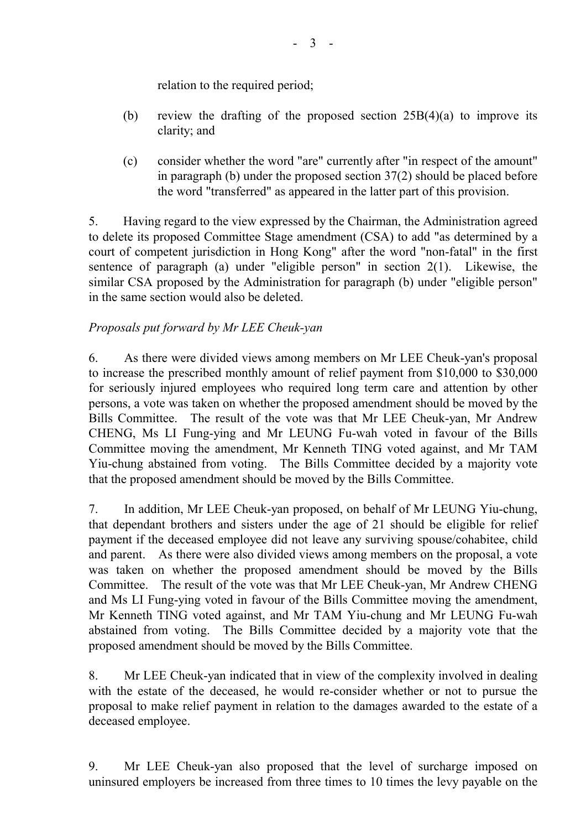relation to the required period;

- (b) review the drafting of the proposed section 25B(4)(a) to improve its clarity; and
- (c) consider whether the word "are" currently after "in respect of the amount" in paragraph (b) under the proposed section 37(2) should be placed before the word "transferred" as appeared in the latter part of this provision.

5. Having regard to the view expressed by the Chairman, the Administration agreed to delete its proposed Committee Stage amendment (CSA) to add "as determined by a court of competent jurisdiction in Hong Kong" after the word "non-fatal" in the first sentence of paragraph (a) under "eligible person" in section 2(1). Likewise, the similar CSA proposed by the Administration for paragraph (b) under "eligible person" in the same section would also be deleted.

# *Proposals put forward by Mr LEE Cheuk-yan*

6. As there were divided views among members on Mr LEE Cheuk-yan's proposal to increase the prescribed monthly amount of relief payment from \$10,000 to \$30,000 for seriously injured employees who required long term care and attention by other persons, a vote was taken on whether the proposed amendment should be moved by the Bills Committee. The result of the vote was that Mr LEE Cheuk-yan, Mr Andrew CHENG, Ms LI Fung-ying and Mr LEUNG Fu-wah voted in favour of the Bills Committee moving the amendment, Mr Kenneth TING voted against, and Mr TAM Yiu-chung abstained from voting. The Bills Committee decided by a majority vote that the proposed amendment should be moved by the Bills Committee.

7. In addition, Mr LEE Cheuk-yan proposed, on behalf of Mr LEUNG Yiu-chung, that dependant brothers and sisters under the age of 21 should be eligible for relief payment if the deceased employee did not leave any surviving spouse/cohabitee, child and parent. As there were also divided views among members on the proposal, a vote was taken on whether the proposed amendment should be moved by the Bills Committee. The result of the vote was that Mr LEE Cheuk-yan, Mr Andrew CHENG and Ms LI Fung-ying voted in favour of the Bills Committee moving the amendment, Mr Kenneth TING voted against, and Mr TAM Yiu-chung and Mr LEUNG Fu-wah abstained from voting. The Bills Committee decided by a majority vote that the proposed amendment should be moved by the Bills Committee.

8. Mr LEE Cheuk-yan indicated that in view of the complexity involved in dealing with the estate of the deceased, he would re-consider whether or not to pursue the proposal to make relief payment in relation to the damages awarded to the estate of a deceased employee.

9. Mr LEE Cheuk-yan also proposed that the level of surcharge imposed on uninsured employers be increased from three times to 10 times the levy payable on the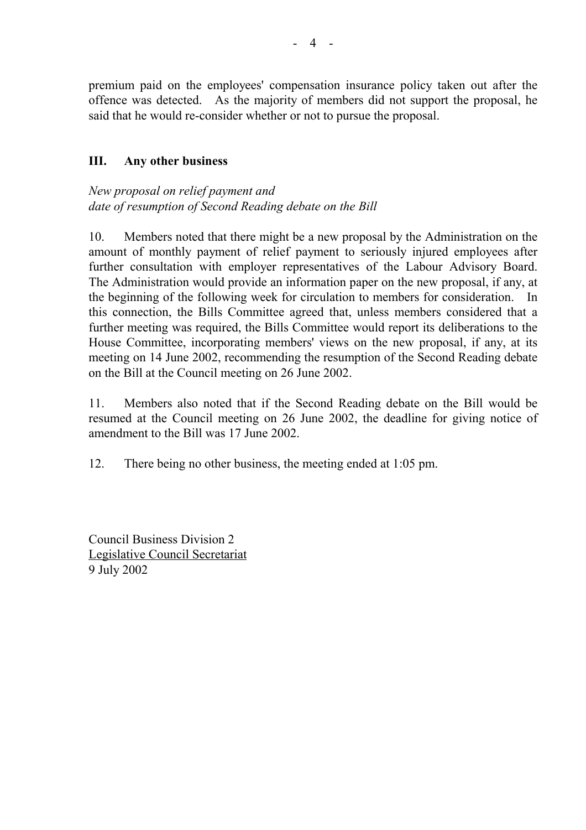premium paid on the employees' compensation insurance policy taken out after the offence was detected. As the majority of members did not support the proposal, he said that he would re-consider whether or not to pursue the proposal.

#### **III. Any other business**

*New proposal on relief payment and date of resumption of Second Reading debate on the Bill*

10. Members noted that there might be a new proposal by the Administration on the amount of monthly payment of relief payment to seriously injured employees after further consultation with employer representatives of the Labour Advisory Board. The Administration would provide an information paper on the new proposal, if any, at the beginning of the following week for circulation to members for consideration. In this connection, the Bills Committee agreed that, unless members considered that a further meeting was required, the Bills Committee would report its deliberations to the House Committee, incorporating members' views on the new proposal, if any, at its meeting on 14 June 2002, recommending the resumption of the Second Reading debate on the Bill at the Council meeting on 26 June 2002.

11. Members also noted that if the Second Reading debate on the Bill would be resumed at the Council meeting on 26 June 2002, the deadline for giving notice of amendment to the Bill was 17 June 2002.

12. There being no other business, the meeting ended at 1:05 pm.

Council Business Division 2 Legislative Council Secretariat 9 July 2002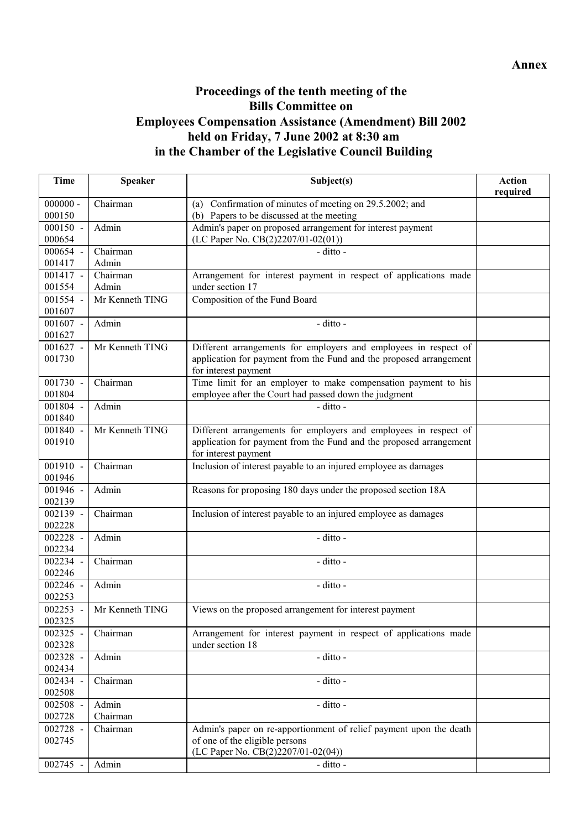# **Proceedings of the tenth meeting of the Bills Committee on Employees Compensation Assistance (Amendment) Bill 2002 held on Friday, 7 June 2002 at 8:30 am in the Chamber of the Legislative Council Building**

| <b>Time</b>          | <b>Speaker</b>           | Subject(s)                                                                                 | <b>Action</b> |
|----------------------|--------------------------|--------------------------------------------------------------------------------------------|---------------|
| $000000 -$           |                          |                                                                                            | required      |
| 000150               | Chairman                 | (a) Confirmation of minutes of meeting on 29.5.2002; and                                   |               |
| $000150 -$           | Admin                    | (b) Papers to be discussed at the meeting                                                  |               |
| 000654               |                          | Admin's paper on proposed arrangement for interest payment                                 |               |
| 000654 -             |                          | (LC Paper No. CB(2)2207/01-02(01))                                                         |               |
|                      | Chairman                 | - ditto -                                                                                  |               |
| 001417               | Admin<br>Chairman        |                                                                                            |               |
| $001417 -$           |                          | Arrangement for interest payment in respect of applications made                           |               |
| 001554<br>001554 -   | Admin<br>Mr Kenneth TING | under section 17                                                                           |               |
| 001607               |                          | Composition of the Fund Board                                                              |               |
|                      |                          |                                                                                            |               |
| $001607 -$           | Admin                    | - ditto -                                                                                  |               |
| 001627               | Mr Kenneth TING          |                                                                                            |               |
| $001627 -$<br>001730 |                          | Different arrangements for employers and employees in respect of                           |               |
|                      |                          | application for payment from the Fund and the proposed arrangement<br>for interest payment |               |
| 001730 -             | Chairman                 | Time limit for an employer to make compensation payment to his                             |               |
| 001804               |                          | employee after the Court had passed down the judgment                                      |               |
| 001804 -             | Admin                    | - ditto -                                                                                  |               |
| 001840               |                          |                                                                                            |               |
| 001840 -             | Mr Kenneth TING          | Different arrangements for employers and employees in respect of                           |               |
| 001910               |                          | application for payment from the Fund and the proposed arrangement                         |               |
|                      |                          | for interest payment                                                                       |               |
| 001910 -             | Chairman                 | Inclusion of interest payable to an injured employee as damages                            |               |
| 001946               |                          |                                                                                            |               |
| 001946 -             | Admin                    | Reasons for proposing 180 days under the proposed section 18A                              |               |
| 002139               |                          |                                                                                            |               |
| 002139 -             | Chairman                 | Inclusion of interest payable to an injured employee as damages                            |               |
| 002228               |                          |                                                                                            |               |
| 002228 -             | Admin                    | - ditto -                                                                                  |               |
| 002234               |                          |                                                                                            |               |
| 002234 -             | Chairman                 | - ditto -                                                                                  |               |
| 002246               |                          |                                                                                            |               |
| 002246 -             | Admin                    | - ditto -                                                                                  |               |
| 002253               |                          |                                                                                            |               |
| 002253 -             | Mr Kenneth TING          | Views on the proposed arrangement for interest payment                                     |               |
| 002325               |                          |                                                                                            |               |
| 002325 -             | Chairman                 | Arrangement for interest payment in respect of applications made                           |               |
| 002328               |                          | under section 18                                                                           |               |
| 002328 -             | Admin                    | - ditto -                                                                                  |               |
| 002434               |                          |                                                                                            |               |
| 002434 -             | Chairman                 | - ditto -                                                                                  |               |
| 002508               |                          |                                                                                            |               |
| 002508 -             | Admin                    | - ditto -                                                                                  |               |
| 002728               | Chairman                 |                                                                                            |               |
| 002728 -             | Chairman                 | Admin's paper on re-apportionment of relief payment upon the death                         |               |
| 002745               |                          | of one of the eligible persons                                                             |               |
|                      |                          | (LC Paper No. CB(2)2207/01-02(04))                                                         |               |
| 002745 -             | Admin                    | - ditto -                                                                                  |               |
|                      |                          |                                                                                            |               |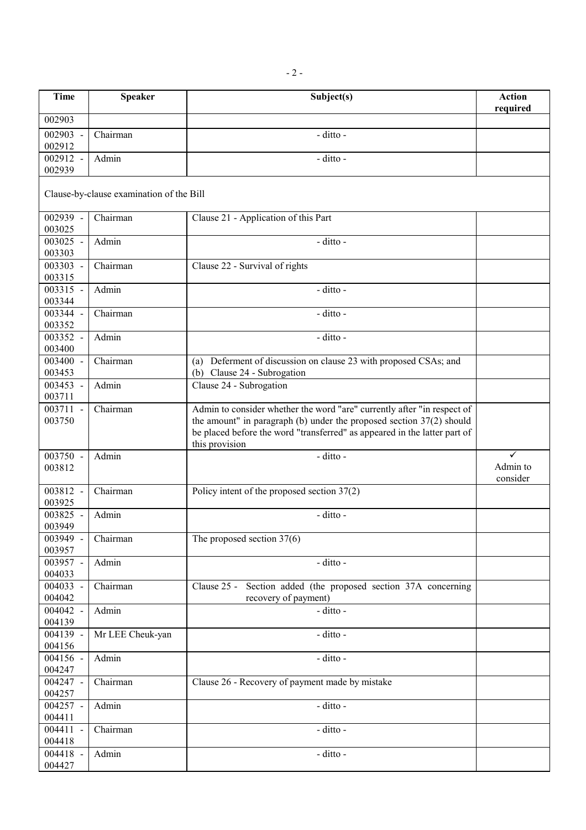| <b>Time</b>                | <b>Speaker</b>                           | Subject(s)                                                                                                                                                                                                                                       | <b>Action</b>                        |
|----------------------------|------------------------------------------|--------------------------------------------------------------------------------------------------------------------------------------------------------------------------------------------------------------------------------------------------|--------------------------------------|
| 002903                     |                                          |                                                                                                                                                                                                                                                  | required                             |
|                            |                                          |                                                                                                                                                                                                                                                  |                                      |
| 002903 -<br>002912         | Chairman                                 | - ditto -                                                                                                                                                                                                                                        |                                      |
| 002912 -                   | Admin                                    | - ditto -                                                                                                                                                                                                                                        |                                      |
| 002939                     |                                          |                                                                                                                                                                                                                                                  |                                      |
|                            | Clause-by-clause examination of the Bill |                                                                                                                                                                                                                                                  |                                      |
| 002939 -<br>003025         | Chairman                                 | Clause 21 - Application of this Part                                                                                                                                                                                                             |                                      |
| 003025 -<br>003303         | Admin                                    | - ditto -                                                                                                                                                                                                                                        |                                      |
| 003303 -<br>003315         | Chairman                                 | Clause 22 - Survival of rights                                                                                                                                                                                                                   |                                      |
| 003315 -<br>003344         | Admin                                    | - ditto -                                                                                                                                                                                                                                        |                                      |
| 003344 -<br>003352         | Chairman                                 | - ditto -                                                                                                                                                                                                                                        |                                      |
| 003352 -<br>003400         | Admin                                    | - ditto -                                                                                                                                                                                                                                        |                                      |
| 003400 -<br>003453         | Chairman                                 | (a) Deferment of discussion on clause 23 with proposed CSAs; and<br>(b) Clause 24 - Subrogation                                                                                                                                                  |                                      |
| 003453 -<br>003711         | Admin                                    | Clause 24 - Subrogation                                                                                                                                                                                                                          |                                      |
| 003711<br>$\sim$<br>003750 | Chairman                                 | Admin to consider whether the word "are" currently after "in respect of<br>the amount" in paragraph (b) under the proposed section $37(2)$ should<br>be placed before the word "transferred" as appeared in the latter part of<br>this provision |                                      |
| 003750 -<br>003812         | Admin                                    | - ditto -                                                                                                                                                                                                                                        | $\checkmark$<br>Admin to<br>consider |
| 003812 -<br>003925         | Chairman                                 | Policy intent of the proposed section $37(2)$                                                                                                                                                                                                    |                                      |
| 003825 -<br>003949         | Admin                                    | - ditto -                                                                                                                                                                                                                                        |                                      |
| 003949 -<br>003957         | Chairman                                 | The proposed section $37(6)$                                                                                                                                                                                                                     |                                      |
| 003957 -<br>004033         | Admin                                    | - ditto -                                                                                                                                                                                                                                        |                                      |
| 004033 -<br>004042         | Chairman                                 | Clause 25 -<br>Section added (the proposed section 37A concerning<br>recovery of payment)                                                                                                                                                        |                                      |
| 004042 -<br>004139         | Admin                                    | - ditto -                                                                                                                                                                                                                                        |                                      |
| 004139 -<br>004156         | Mr LEE Cheuk-yan                         | - ditto -                                                                                                                                                                                                                                        |                                      |
| 004156 -<br>004247         | Admin                                    | - ditto -                                                                                                                                                                                                                                        |                                      |
| 004247 -<br>004257         | Chairman                                 | Clause 26 - Recovery of payment made by mistake                                                                                                                                                                                                  |                                      |
| 004257 -<br>004411         | Admin                                    | - ditto -                                                                                                                                                                                                                                        |                                      |
| 004411 -<br>004418         | Chairman                                 | - ditto -                                                                                                                                                                                                                                        |                                      |
| 004418 -<br>004427         | Admin                                    | - ditto -                                                                                                                                                                                                                                        |                                      |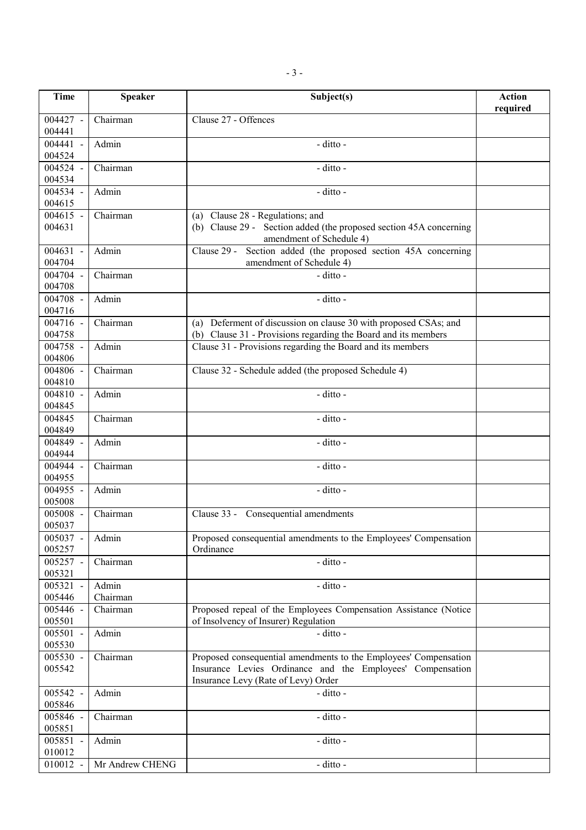| <b>Time</b>                     | <b>Speaker</b>    | Subject(s)                                                                                                                                                            | <b>Action</b><br>required |
|---------------------------------|-------------------|-----------------------------------------------------------------------------------------------------------------------------------------------------------------------|---------------------------|
| $004427 -$<br>004441            | Chairman          | Clause 27 - Offences                                                                                                                                                  |                           |
| 004441 -<br>004524              | Admin             | - ditto -                                                                                                                                                             |                           |
| 004524 -<br>004534              | Chairman          | - ditto -                                                                                                                                                             |                           |
| 004534 -<br>004615              | Admin             | - ditto -                                                                                                                                                             |                           |
| 004615 -<br>004631              | Chairman          | (a) Clause 28 - Regulations; and<br>(b) Clause 29 - Section added (the proposed section 45A concerning<br>amendment of Schedule 4)                                    |                           |
| 004631 -<br>004704              | Admin             | Section added (the proposed section 45A concerning<br>Clause 29 -<br>amendment of Schedule 4)                                                                         |                           |
| 004704 -<br>004708              | Chairman          | - ditto -                                                                                                                                                             |                           |
| 004708 -<br>004716              | Admin             | - ditto -                                                                                                                                                             |                           |
| 004716 -<br>004758              | Chairman          | (a) Deferment of discussion on clause 30 with proposed CSAs; and<br>(b) Clause 31 - Provisions regarding the Board and its members                                    |                           |
| $\overline{004758}$ -<br>004806 | Admin             | Clause 31 - Provisions regarding the Board and its members                                                                                                            |                           |
| 004806 -<br>004810              | Chairman          | Clause 32 - Schedule added (the proposed Schedule 4)                                                                                                                  |                           |
| $004810 -$<br>004845            | Admin             | $\overline{-}$ ditto -                                                                                                                                                |                           |
| 004845<br>004849                | Chairman          | - ditto -                                                                                                                                                             |                           |
| 004849 -<br>004944              | Admin             | - ditto -                                                                                                                                                             |                           |
| 004944 -<br>004955              | Chairman          | - ditto -                                                                                                                                                             |                           |
| 004955 -<br>005008              | Admin             | - ditto -                                                                                                                                                             |                           |
| 005008 -<br>005037              | Chairman          | Clause 33 - Consequential amendments                                                                                                                                  |                           |
| 005037 -<br>005257              | Admin             | Proposed consequential amendments to the Employees' Compensation<br>Ordinance                                                                                         |                           |
| 005257 -<br>005321              | Chairman          | - ditto -                                                                                                                                                             |                           |
| 005321<br>005446                | Admin<br>Chairman | - ditto -                                                                                                                                                             |                           |
| 005446 -<br>005501              | Chairman          | Proposed repeal of the Employees Compensation Assistance (Notice<br>of Insolvency of Insurer) Regulation                                                              |                           |
| 005501 -<br>005530              | Admin             | - ditto -                                                                                                                                                             |                           |
| 005530 -<br>005542              | Chairman          | Proposed consequential amendments to the Employees' Compensation<br>Insurance Levies Ordinance and the Employees' Compensation<br>Insurance Levy (Rate of Levy) Order |                           |
| 005542 -<br>005846              | Admin             | - ditto -                                                                                                                                                             |                           |
| 005846 -<br>005851              | Chairman          | - ditto -                                                                                                                                                             |                           |
| 005851 -<br>010012              | Admin             | - ditto -                                                                                                                                                             |                           |
| 010012 -                        | Mr Andrew CHENG   | - ditto -                                                                                                                                                             |                           |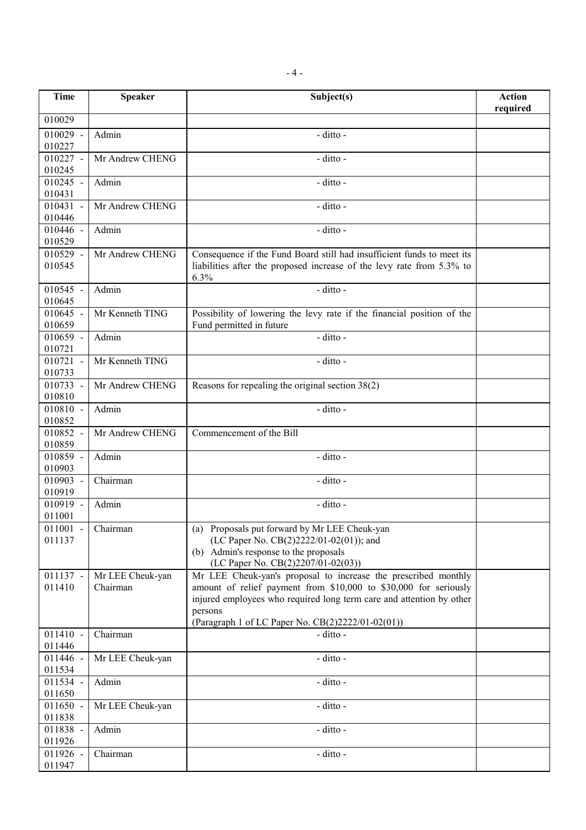| <b>Time</b>          | <b>Speaker</b>      | Subject(s)                                                             | <b>Action</b> |
|----------------------|---------------------|------------------------------------------------------------------------|---------------|
|                      |                     |                                                                        | required      |
| 010029               |                     |                                                                        |               |
| $010029 -$           | Admin               | - ditto -                                                              |               |
| 010227               |                     |                                                                        |               |
| $010227 -$           | Mr Andrew CHENG     | - ditto -                                                              |               |
| 010245               |                     |                                                                        |               |
| $010245 -$           | Admin               | - ditto -                                                              |               |
| 010431<br>$010431 -$ |                     | - ditto -                                                              |               |
| 010446               | Mr Andrew CHENG     |                                                                        |               |
| 010446 -             | Admin               | - ditto -                                                              |               |
| 010529               |                     |                                                                        |               |
| $010529 -$           | Mr Andrew CHENG     | Consequence if the Fund Board still had insufficient funds to meet its |               |
| 010545               |                     | liabilities after the proposed increase of the levy rate from 5.3% to  |               |
|                      |                     | 6.3%                                                                   |               |
| 010545 -             | Admin               | - ditto -                                                              |               |
| 010645               |                     |                                                                        |               |
| 010645 -             | Mr Kenneth TING     | Possibility of lowering the levy rate if the financial position of the |               |
| 010659               |                     | Fund permitted in future                                               |               |
| 010659 -             | Admin               | $-$ ditto $-$                                                          |               |
| 010721               |                     |                                                                        |               |
| $010721 -$           | Mr Kenneth TING     | - ditto -                                                              |               |
| 010733<br>010733 -   | Mr Andrew CHENG     | Reasons for repealing the original section 38(2)                       |               |
| 010810               |                     |                                                                        |               |
| $010810 -$           | Admin               | - ditto -                                                              |               |
| 010852               |                     |                                                                        |               |
| 010852 -             | Mr Andrew CHENG     | Commencement of the Bill                                               |               |
| 010859               |                     |                                                                        |               |
| 010859 -             | Admin               | - ditto -                                                              |               |
| 010903               |                     |                                                                        |               |
| 010903 -             | Chairman            | - ditto -                                                              |               |
| 010919               |                     |                                                                        |               |
| 010919 -             | Admin               | - ditto -                                                              |               |
| 011001               | $011001$ - Chairman | (a) Proposals put forward by Mr LEE Cheuk-yan                          |               |
| 011137               |                     | (LC Paper No. CB(2)2222/01-02(01)); and                                |               |
|                      |                     | (b) Admin's response to the proposals                                  |               |
|                      |                     | (LC Paper No. CB(2)2207/01-02(03))                                     |               |
| 011137 -             | Mr LEE Cheuk-yan    | Mr LEE Cheuk-yan's proposal to increase the prescribed monthly         |               |
| 011410               | Chairman            | amount of relief payment from \$10,000 to \$30,000 for seriously       |               |
|                      |                     | injured employees who required long term care and attention by other   |               |
|                      |                     | persons                                                                |               |
|                      |                     | (Paragraph 1 of LC Paper No. CB(2)2222/01-02(01))                      |               |
| $011410 -$           | Chairman            | - ditto -                                                              |               |
| 011446               |                     |                                                                        |               |
| 011446 -<br>011534   | Mr LEE Cheuk-yan    | - ditto -                                                              |               |
| 011534 -             | Admin               | - ditto -                                                              |               |
| 011650               |                     |                                                                        |               |
| 011650 -             | Mr LEE Cheuk-yan    | - ditto -                                                              |               |
| 011838               |                     |                                                                        |               |
| 011838 -             | Admin               | - ditto -                                                              |               |
| 011926               |                     |                                                                        |               |
| 011926 -             | Chairman            | - ditto -                                                              |               |
| 011947               |                     |                                                                        |               |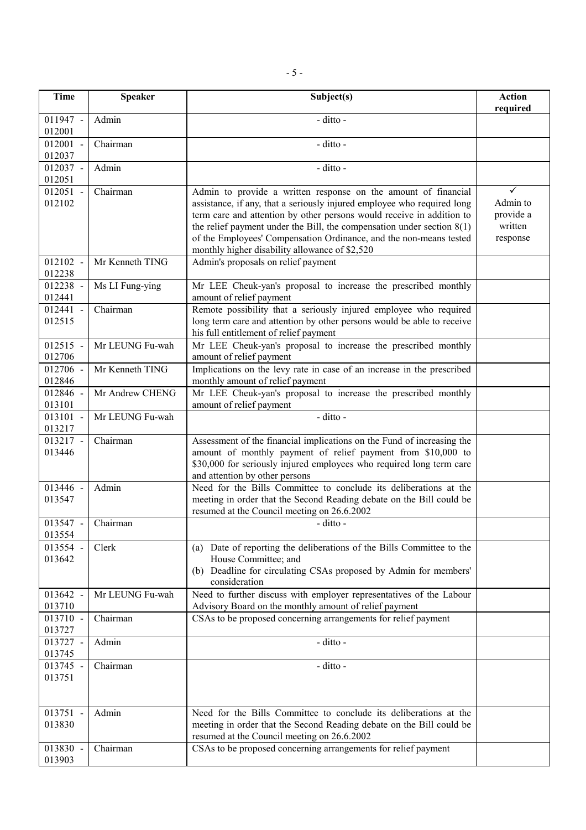| Time                 | <b>Speaker</b>  | Subject(s)                                                                                                                                                                                                                                                                                                                                                                                                             | <b>Action</b><br>required                         |
|----------------------|-----------------|------------------------------------------------------------------------------------------------------------------------------------------------------------------------------------------------------------------------------------------------------------------------------------------------------------------------------------------------------------------------------------------------------------------------|---------------------------------------------------|
| $011947 -$<br>012001 | Admin           | - ditto -                                                                                                                                                                                                                                                                                                                                                                                                              |                                                   |
| $012001 -$<br>012037 | Chairman        | - ditto -                                                                                                                                                                                                                                                                                                                                                                                                              |                                                   |
| 012037 -<br>012051   | Admin           | - ditto -                                                                                                                                                                                                                                                                                                                                                                                                              |                                                   |
| $012051 -$<br>012102 | Chairman        | Admin to provide a written response on the amount of financial<br>assistance, if any, that a seriously injured employee who required long<br>term care and attention by other persons would receive in addition to<br>the relief payment under the Bill, the compensation under section $8(1)$<br>of the Employees' Compensation Ordinance, and the non-means tested<br>monthly higher disability allowance of \$2,520 | ✓<br>Admin to<br>provide a<br>written<br>response |
| $012102 -$<br>012238 | Mr Kenneth TING | Admin's proposals on relief payment                                                                                                                                                                                                                                                                                                                                                                                    |                                                   |
| 012238 -<br>012441   | Ms LI Fung-ying | Mr LEE Cheuk-yan's proposal to increase the prescribed monthly<br>amount of relief payment                                                                                                                                                                                                                                                                                                                             |                                                   |
| 012441 -<br>012515   | Chairman        | Remote possibility that a seriously injured employee who required<br>long term care and attention by other persons would be able to receive<br>his full entitlement of relief payment                                                                                                                                                                                                                                  |                                                   |
| $012515 -$<br>012706 | Mr LEUNG Fu-wah | Mr LEE Cheuk-yan's proposal to increase the prescribed monthly<br>amount of relief payment                                                                                                                                                                                                                                                                                                                             |                                                   |
| 012706 -<br>012846   | Mr Kenneth TING | Implications on the levy rate in case of an increase in the prescribed<br>monthly amount of relief payment                                                                                                                                                                                                                                                                                                             |                                                   |
| 012846 -<br>013101   | Mr Andrew CHENG | Mr LEE Cheuk-yan's proposal to increase the prescribed monthly<br>amount of relief payment                                                                                                                                                                                                                                                                                                                             |                                                   |
| 013101 -<br>013217   | Mr LEUNG Fu-wah | - ditto -                                                                                                                                                                                                                                                                                                                                                                                                              |                                                   |
| 013217 -<br>013446   | Chairman        | Assessment of the financial implications on the Fund of increasing the<br>amount of monthly payment of relief payment from \$10,000 to<br>\$30,000 for seriously injured employees who required long term care<br>and attention by other persons                                                                                                                                                                       |                                                   |
| 013446 -<br>013547   | Admin           | Need for the Bills Committee to conclude its deliberations at the<br>meeting in order that the Second Reading debate on the Bill could be<br>resumed at the Council meeting on 26.6.2002                                                                                                                                                                                                                               |                                                   |
| $013547 -$<br>013554 | Chairman        | - ditto -                                                                                                                                                                                                                                                                                                                                                                                                              |                                                   |
| 013554 -<br>013642   | Clerk           | (a) Date of reporting the deliberations of the Bills Committee to the<br>House Committee; and<br>(b) Deadline for circulating CSAs proposed by Admin for members'<br>consideration                                                                                                                                                                                                                                     |                                                   |
| 013642 -<br>013710   | Mr LEUNG Fu-wah | Need to further discuss with employer representatives of the Labour<br>Advisory Board on the monthly amount of relief payment                                                                                                                                                                                                                                                                                          |                                                   |
| 013710 -<br>013727   | Chairman        | CSAs to be proposed concerning arrangements for relief payment                                                                                                                                                                                                                                                                                                                                                         |                                                   |
| 013727 -<br>013745   | Admin           | - ditto -                                                                                                                                                                                                                                                                                                                                                                                                              |                                                   |
| 013745 -<br>013751   | Chairman        | - ditto -                                                                                                                                                                                                                                                                                                                                                                                                              |                                                   |
| 013751 -<br>013830   | Admin           | Need for the Bills Committee to conclude its deliberations at the<br>meeting in order that the Second Reading debate on the Bill could be<br>resumed at the Council meeting on 26.6.2002                                                                                                                                                                                                                               |                                                   |
| 013830 -<br>013903   | Chairman        | CSAs to be proposed concerning arrangements for relief payment                                                                                                                                                                                                                                                                                                                                                         |                                                   |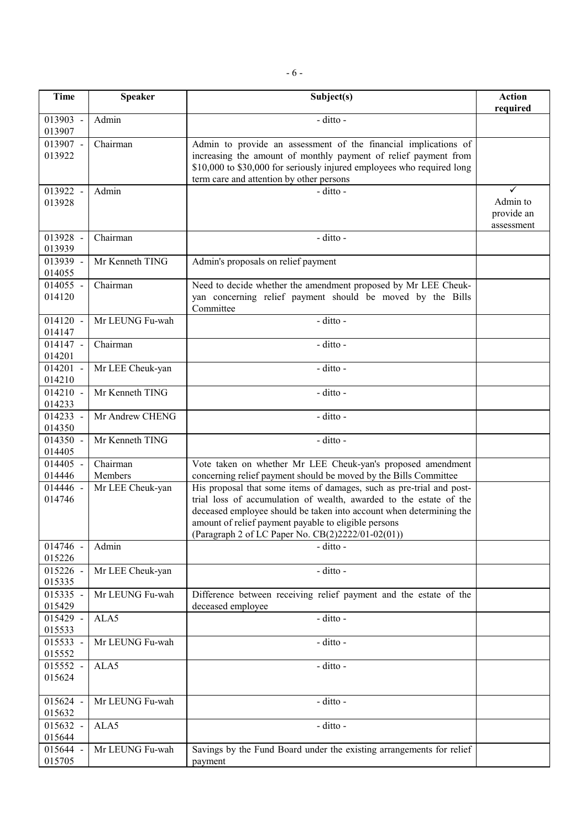- 6 -

| <b>Time</b>          | <b>Speaker</b>      | Subject(s)                                                                                                                                                                                                                                                                                                                     | <b>Action</b><br>required                 |
|----------------------|---------------------|--------------------------------------------------------------------------------------------------------------------------------------------------------------------------------------------------------------------------------------------------------------------------------------------------------------------------------|-------------------------------------------|
| 013903 -<br>013907   | Admin               | - ditto -                                                                                                                                                                                                                                                                                                                      |                                           |
| 013907 -<br>013922   | Chairman            | Admin to provide an assessment of the financial implications of<br>increasing the amount of monthly payment of relief payment from<br>\$10,000 to \$30,000 for seriously injured employees who required long<br>term care and attention by other persons                                                                       |                                           |
| 013922 -<br>013928   | Admin               | $-$ ditto $-$                                                                                                                                                                                                                                                                                                                  | ✓<br>Admin to<br>provide an<br>assessment |
| 013928 -<br>013939   | Chairman            | - ditto -                                                                                                                                                                                                                                                                                                                      |                                           |
| 013939 -<br>014055   | Mr Kenneth TING     | Admin's proposals on relief payment                                                                                                                                                                                                                                                                                            |                                           |
| $014055 -$<br>014120 | Chairman            | Need to decide whether the amendment proposed by Mr LEE Cheuk-<br>yan concerning relief payment should be moved by the Bills<br>Committee                                                                                                                                                                                      |                                           |
| $014120 -$<br>014147 | Mr LEUNG Fu-wah     | - ditto -                                                                                                                                                                                                                                                                                                                      |                                           |
| $014147 -$<br>014201 | Chairman            | - ditto -                                                                                                                                                                                                                                                                                                                      |                                           |
| $014201 -$<br>014210 | Mr LEE Cheuk-yan    | - ditto -                                                                                                                                                                                                                                                                                                                      |                                           |
| $014210 -$<br>014233 | Mr Kenneth TING     | - ditto -                                                                                                                                                                                                                                                                                                                      |                                           |
| $014233 -$<br>014350 | Mr Andrew CHENG     | - ditto -                                                                                                                                                                                                                                                                                                                      |                                           |
| $014350 -$<br>014405 | Mr Kenneth TING     | - ditto -                                                                                                                                                                                                                                                                                                                      |                                           |
| $014405 -$<br>014446 | Chairman<br>Members | Vote taken on whether Mr LEE Cheuk-yan's proposed amendment<br>concerning relief payment should be moved by the Bills Committee                                                                                                                                                                                                |                                           |
| 014446 -<br>014746   | Mr LEE Cheuk-yan    | His proposal that some items of damages, such as pre-trial and post-<br>trial loss of accumulation of wealth, awarded to the estate of the<br>deceased employee should be taken into account when determining the<br>amount of relief payment payable to eligible persons<br>(Paragraph 2 of LC Paper No. CB(2)2222/01-02(01)) |                                           |
| 014746 -<br>015226   | Admin               | - ditto -                                                                                                                                                                                                                                                                                                                      |                                           |
| 015226 -<br>015335   | Mr LEE Cheuk-yan    | - ditto -                                                                                                                                                                                                                                                                                                                      |                                           |
| 015335 -<br>015429   | Mr LEUNG Fu-wah     | Difference between receiving relief payment and the estate of the<br>deceased employee                                                                                                                                                                                                                                         |                                           |
| 015429 -<br>015533   | ALA5                | - ditto -                                                                                                                                                                                                                                                                                                                      |                                           |
| 015533 -<br>015552   | Mr LEUNG Fu-wah     | - ditto -                                                                                                                                                                                                                                                                                                                      |                                           |
| 015552 -<br>015624   | ALA5                | - ditto -                                                                                                                                                                                                                                                                                                                      |                                           |
| 015624 -<br>015632   | Mr LEUNG Fu-wah     | - ditto -                                                                                                                                                                                                                                                                                                                      |                                           |
| 015632 -<br>015644   | ALA5                | - ditto -                                                                                                                                                                                                                                                                                                                      |                                           |
| 015644 -<br>015705   | Mr LEUNG Fu-wah     | Savings by the Fund Board under the existing arrangements for relief<br>payment                                                                                                                                                                                                                                                |                                           |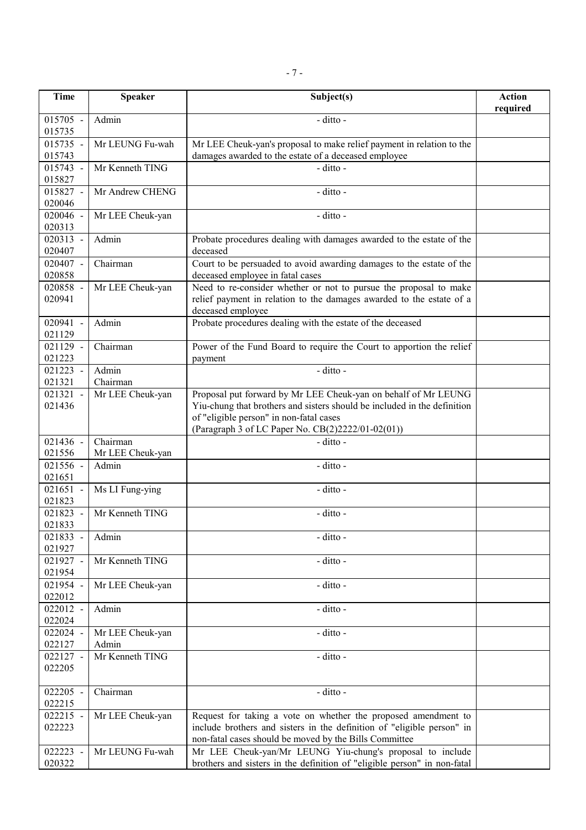| <b>Time</b>          | <b>Speaker</b>            | Subject(s)                                                                                                                                                                                         | <b>Action</b><br>required |
|----------------------|---------------------------|----------------------------------------------------------------------------------------------------------------------------------------------------------------------------------------------------|---------------------------|
| $015705 -$<br>015735 | Admin                     | - ditto -                                                                                                                                                                                          |                           |
| 015735 -<br>015743   | Mr LEUNG Fu-wah           | Mr LEE Cheuk-yan's proposal to make relief payment in relation to the<br>damages awarded to the estate of a deceased employee                                                                      |                           |
| 015743 -<br>015827   | Mr Kenneth TING           | - ditto -                                                                                                                                                                                          |                           |
| 015827 -<br>020046   | Mr Andrew CHENG           | - ditto -                                                                                                                                                                                          |                           |
| 020046 -<br>020313   | Mr LEE Cheuk-yan          | - ditto -                                                                                                                                                                                          |                           |
| 020313 -<br>020407   | Admin                     | Probate procedures dealing with damages awarded to the estate of the<br>deceased                                                                                                                   |                           |
| 020407 -<br>020858   | Chairman                  | Court to be persuaded to avoid awarding damages to the estate of the<br>deceased employee in fatal cases                                                                                           |                           |
| 020858 -<br>020941   | Mr LEE Cheuk-yan          | Need to re-consider whether or not to pursue the proposal to make<br>relief payment in relation to the damages awarded to the estate of a<br>deceased employee                                     |                           |
| 020941<br>021129     | Admin                     | Probate procedures dealing with the estate of the deceased                                                                                                                                         |                           |
| 021129 -<br>021223   | Chairman                  | Power of the Fund Board to require the Court to apportion the relief<br>payment                                                                                                                    |                           |
| 021223 -<br>021321   | Admin<br>Chairman         | - ditto -                                                                                                                                                                                          |                           |
| 021321 -             | Mr LEE Cheuk-yan          | Proposal put forward by Mr LEE Cheuk-yan on behalf of Mr LEUNG                                                                                                                                     |                           |
| 021436               |                           | Yiu-chung that brothers and sisters should be included in the definition<br>of "eligible person" in non-fatal cases<br>(Paragraph 3 of LC Paper No. CB(2)2222/01-02(01))                           |                           |
| 021436 -             | Chairman                  | - ditto -                                                                                                                                                                                          |                           |
| 021556               | Mr LEE Cheuk-yan          |                                                                                                                                                                                                    |                           |
| 021556 -<br>021651   | Admin                     | - ditto -                                                                                                                                                                                          |                           |
| 021651 -<br>021823   | Ms LI Fung-ying           | - ditto -                                                                                                                                                                                          |                           |
| 021823 -<br>021833   | Mr Kenneth TING           | - ditto -                                                                                                                                                                                          |                           |
| 021833 -<br>021927   | Admin                     | - ditto -                                                                                                                                                                                          |                           |
| 021927 -<br>021954   | Mr Kenneth TING           | - ditto -                                                                                                                                                                                          |                           |
| 021954 -<br>022012   | Mr LEE Cheuk-yan          | - ditto -                                                                                                                                                                                          |                           |
| 022012 -<br>022024   | Admin                     | - ditto -                                                                                                                                                                                          |                           |
| 022024 -<br>022127   | Mr LEE Cheuk-yan<br>Admin | - ditto -                                                                                                                                                                                          |                           |
| 022127 -<br>022205   | Mr Kenneth TING           | - ditto -                                                                                                                                                                                          |                           |
| 022205 -<br>022215   | Chairman                  | - ditto -                                                                                                                                                                                          |                           |
| 022215 -<br>022223   | Mr LEE Cheuk-yan          | Request for taking a vote on whether the proposed amendment to<br>include brothers and sisters in the definition of "eligible person" in<br>non-fatal cases should be moved by the Bills Committee |                           |
| 022223 -<br>020322   | Mr LEUNG Fu-wah           | Mr LEE Cheuk-yan/Mr LEUNG Yiu-chung's proposal to include<br>brothers and sisters in the definition of "eligible person" in non-fatal                                                              |                           |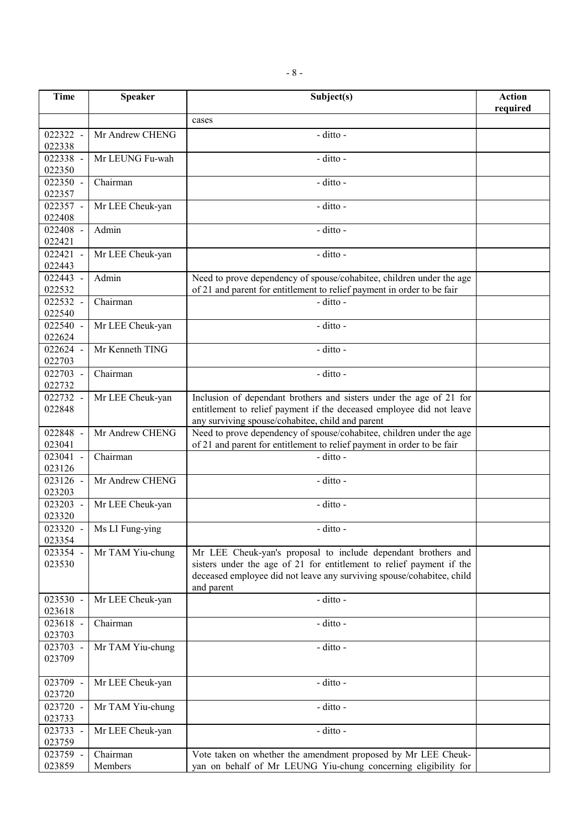| <b>Time</b>        | <b>Speaker</b>   | Subject(s)                                                                                                                            | <b>Action</b> |
|--------------------|------------------|---------------------------------------------------------------------------------------------------------------------------------------|---------------|
|                    |                  |                                                                                                                                       | required      |
|                    |                  | cases                                                                                                                                 |               |
| 022322 -           | Mr Andrew CHENG  | - ditto -                                                                                                                             |               |
| 022338<br>022338 - | Mr LEUNG Fu-wah  | - ditto -                                                                                                                             |               |
| 022350             |                  |                                                                                                                                       |               |
| 022350 -           | Chairman         | - ditto -                                                                                                                             |               |
| 022357             |                  |                                                                                                                                       |               |
| 022357 -           | Mr LEE Cheuk-yan | - ditto -                                                                                                                             |               |
| 022408             |                  |                                                                                                                                       |               |
| 022408 -           | Admin            | - ditto -                                                                                                                             |               |
| 022421             |                  |                                                                                                                                       |               |
| 022421 -<br>022443 | Mr LEE Cheuk-yan | - ditto -                                                                                                                             |               |
| 022443 -           | Admin            | Need to prove dependency of spouse/cohabitee, children under the age                                                                  |               |
| 022532             |                  | of 21 and parent for entitlement to relief payment in order to be fair                                                                |               |
| 022532 -           | Chairman         | - ditto -                                                                                                                             |               |
| 022540             |                  |                                                                                                                                       |               |
| 022540 -           | Mr LEE Cheuk-yan | - ditto -                                                                                                                             |               |
| 022624             |                  |                                                                                                                                       |               |
| 022624 -           | Mr Kenneth TING  | - ditto -                                                                                                                             |               |
| 022703<br>022703 - | Chairman         | - ditto -                                                                                                                             |               |
| 022732             |                  |                                                                                                                                       |               |
| 022732 -           | Mr LEE Cheuk-yan | Inclusion of dependant brothers and sisters under the age of 21 for                                                                   |               |
| 022848             |                  | entitlement to relief payment if the deceased employee did not leave                                                                  |               |
|                    |                  | any surviving spouse/cohabitee, child and parent                                                                                      |               |
| 022848 -           | Mr Andrew CHENG  | Need to prove dependency of spouse/cohabitee, children under the age                                                                  |               |
| 023041<br>023041 - | Chairman         | of 21 and parent for entitlement to relief payment in order to be fair<br>- ditto -                                                   |               |
| 023126             |                  |                                                                                                                                       |               |
| 023126 -           | Mr Andrew CHENG  | - ditto -                                                                                                                             |               |
| 023203             |                  |                                                                                                                                       |               |
| 023203 -           | Mr LEE Cheuk-yan | - ditto -                                                                                                                             |               |
| 023320             |                  |                                                                                                                                       |               |
| $023320 -$         | Ms LI Fung-ying  | - ditto -                                                                                                                             |               |
| 023354             |                  |                                                                                                                                       |               |
| 023354 -<br>023530 | Mr TAM Yiu-chung | Mr LEE Cheuk-yan's proposal to include dependant brothers and<br>sisters under the age of 21 for entitlement to relief payment if the |               |
|                    |                  | deceased employee did not leave any surviving spouse/cohabitee, child                                                                 |               |
|                    |                  | and parent                                                                                                                            |               |
| 023530 -           | Mr LEE Cheuk-yan | - ditto -                                                                                                                             |               |
| 023618             |                  |                                                                                                                                       |               |
| 023618 -           | Chairman         | - ditto -                                                                                                                             |               |
| 023703<br>023703 - | Mr TAM Yiu-chung | - ditto -                                                                                                                             |               |
| 023709             |                  |                                                                                                                                       |               |
|                    |                  |                                                                                                                                       |               |
| 023709 -           | Mr LEE Cheuk-yan | - ditto -                                                                                                                             |               |
| 023720             |                  |                                                                                                                                       |               |
| 023720 -           | Mr TAM Yiu-chung | - ditto -                                                                                                                             |               |
| 023733             |                  |                                                                                                                                       |               |
| 023733 -<br>023759 | Mr LEE Cheuk-yan | - ditto -                                                                                                                             |               |
| 023759 -           | Chairman         | Vote taken on whether the amendment proposed by Mr LEE Cheuk-                                                                         |               |
| 023859             | Members          | yan on behalf of Mr LEUNG Yiu-chung concerning eligibility for                                                                        |               |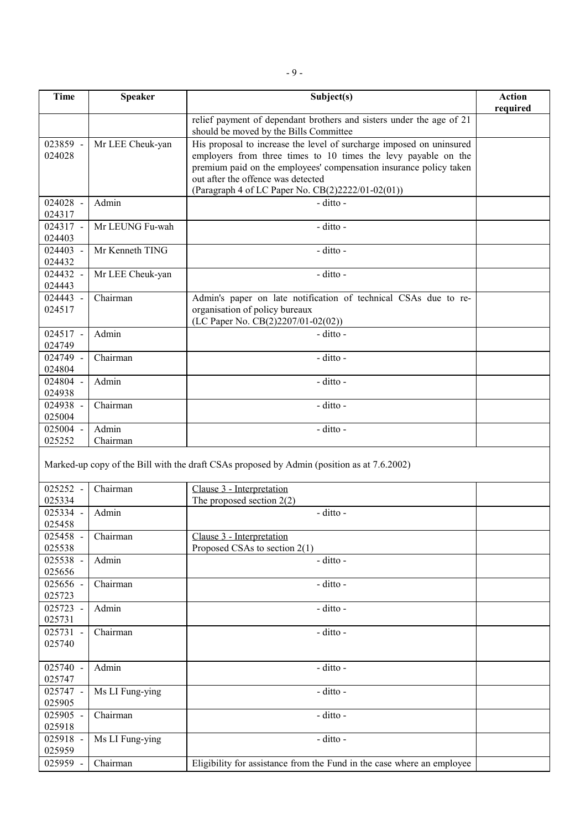| <b>Time</b>        | <b>Speaker</b>    | Subject(s)                                                                                                     | <b>Action</b><br>required |
|--------------------|-------------------|----------------------------------------------------------------------------------------------------------------|---------------------------|
|                    |                   | relief payment of dependant brothers and sisters under the age of 21<br>should be moved by the Bills Committee |                           |
| 023859 -           | Mr LEE Cheuk-yan  | His proposal to increase the level of surcharge imposed on uninsured                                           |                           |
| 024028             |                   | employers from three times to 10 times the levy payable on the                                                 |                           |
|                    |                   | premium paid on the employees' compensation insurance policy taken                                             |                           |
|                    |                   | out after the offence was detected                                                                             |                           |
|                    |                   | (Paragraph 4 of LC Paper No. CB(2)2222/01-02(01))                                                              |                           |
| 024028 -           | Admin             | - ditto -                                                                                                      |                           |
| 024317             |                   |                                                                                                                |                           |
| 024317 -           | Mr LEUNG Fu-wah   | - ditto -                                                                                                      |                           |
| 024403             |                   |                                                                                                                |                           |
| 024403 -<br>024432 | Mr Kenneth TING   | - ditto -                                                                                                      |                           |
| 024432 -           | Mr LEE Cheuk-yan  | - ditto -                                                                                                      |                           |
| 024443             |                   |                                                                                                                |                           |
| 024443 -           | Chairman          | Admin's paper on late notification of technical CSAs due to re-                                                |                           |
| 024517             |                   | organisation of policy bureaux                                                                                 |                           |
|                    |                   | (LC Paper No. CB(2)2207/01-02(02))                                                                             |                           |
| 024517 -           | Admin             | - ditto -                                                                                                      |                           |
| 024749             |                   |                                                                                                                |                           |
| 024749 -           | Chairman          | - ditto -                                                                                                      |                           |
| 024804             |                   |                                                                                                                |                           |
| 024804 -           | Admin             | - ditto -                                                                                                      |                           |
| 024938             |                   |                                                                                                                |                           |
| 024938 -           | Chairman          | - ditto -                                                                                                      |                           |
| 025004             |                   |                                                                                                                |                           |
| 025004 -<br>025252 | Admin<br>Chairman | - ditto -                                                                                                      |                           |
|                    |                   |                                                                                                                |                           |
|                    |                   | Marked-up copy of the Bill with the draft CSAs proposed by Admin (position as at 7.6.2002)                     |                           |
| 025252 -           | Chairman          | Clause 3 - Interpretation                                                                                      |                           |
| 025334             |                   | The proposed section $2(2)$                                                                                    |                           |
| 025334 -           | Admin             | - ditto -                                                                                                      |                           |
| 025458             |                   |                                                                                                                |                           |
| 025458 -           | Chairman          | Clause 3 - Interpretation                                                                                      |                           |
| 025538             |                   | Proposed CSAs to section 2(1)                                                                                  |                           |
| 025538 -           | Admin             | - ditto -                                                                                                      |                           |
| 025656             |                   |                                                                                                                |                           |
| 025656 -<br>025723 | Chairman          | - ditto -                                                                                                      |                           |
| 025723 -           | Admin             | - ditto -                                                                                                      |                           |
| 025731             |                   |                                                                                                                |                           |
| 025731 -           | Chairman          | - ditto -                                                                                                      |                           |
| 025740             |                   |                                                                                                                |                           |
|                    |                   |                                                                                                                |                           |
| 025740 -           | Admin             | - ditto -                                                                                                      |                           |
| 025747             |                   |                                                                                                                |                           |
| 025747 -           | Ms LI Fung-ying   | - ditto -                                                                                                      |                           |
| 025905             |                   |                                                                                                                |                           |
| 025905 -           | Chairman          | - ditto -                                                                                                      |                           |
| 025918             |                   |                                                                                                                |                           |
| 025918 -           | Ms LI Fung-ying   | - ditto -                                                                                                      |                           |
| 025959             |                   |                                                                                                                |                           |
| 025959 -           | Chairman          | Eligibility for assistance from the Fund in the case where an employee                                         |                           |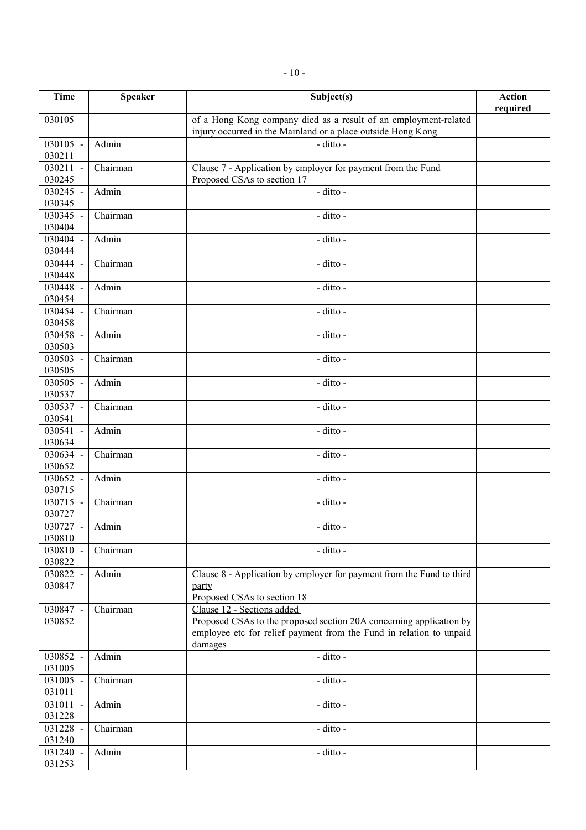| Time               | <b>Speaker</b> | Subject(s)                                                                                  | <b>Action</b><br>required |
|--------------------|----------------|---------------------------------------------------------------------------------------------|---------------------------|
| 030105             |                | of a Hong Kong company died as a result of an employment-related                            |                           |
|                    |                | injury occurred in the Mainland or a place outside Hong Kong                                |                           |
| 030105 -           | Admin          | - ditto -                                                                                   |                           |
| 030211<br>030211 - | Chairman       |                                                                                             |                           |
| 030245             |                | Clause 7 - Application by employer for payment from the Fund<br>Proposed CSAs to section 17 |                           |
| 030245 -           | Admin          | - ditto -                                                                                   |                           |
| 030345             |                |                                                                                             |                           |
| 030345 -           | Chairman       | - ditto -                                                                                   |                           |
| 030404             |                |                                                                                             |                           |
| 030404 -           | Admin          | - ditto -                                                                                   |                           |
| 030444             |                |                                                                                             |                           |
| 030444 -           | Chairman       | - ditto -                                                                                   |                           |
| 030448<br>030448 - | Admin          | - ditto -                                                                                   |                           |
| 030454             |                |                                                                                             |                           |
| 030454 -           | Chairman       | - ditto -                                                                                   |                           |
| 030458             |                |                                                                                             |                           |
| 030458 -           | Admin          | - ditto -                                                                                   |                           |
| 030503             |                |                                                                                             |                           |
| 030503 -           | Chairman       | - ditto -                                                                                   |                           |
| 030505             |                |                                                                                             |                           |
| 030505 -<br>030537 | Admin          | - ditto -                                                                                   |                           |
| 030537 -           | Chairman       | - ditto -                                                                                   |                           |
| 030541             |                |                                                                                             |                           |
| 030541 -           | Admin          | - ditto -                                                                                   |                           |
| 030634             |                |                                                                                             |                           |
| 030634 -           | Chairman       | - ditto -                                                                                   |                           |
| 030652             |                |                                                                                             |                           |
| 030652 -<br>030715 | Admin          | - ditto -                                                                                   |                           |
| 030715 -           | Chairman       | - ditto -                                                                                   |                           |
| 030727             |                |                                                                                             |                           |
| 030727 -           | Admin          | - ditto -                                                                                   |                           |
| 030810             |                |                                                                                             |                           |
| 030810 -           | Chairman       | - ditto -                                                                                   |                           |
| 030822             |                |                                                                                             |                           |
| 030822 -           | Admin          | Clause 8 - Application by employer for payment from the Fund to third                       |                           |
| 030847             |                | party<br>Proposed CSAs to section 18                                                        |                           |
| 030847 -           | Chairman       | Clause 12 - Sections added                                                                  |                           |
| 030852             |                | Proposed CSAs to the proposed section 20A concerning application by                         |                           |
|                    |                | employee etc for relief payment from the Fund in relation to unpaid                         |                           |
|                    |                | damages                                                                                     |                           |
| 030852 -           | Admin          | - ditto -                                                                                   |                           |
| 031005             |                |                                                                                             |                           |
| 031005 -<br>031011 | Chairman       | - ditto -                                                                                   |                           |
| 031011             | Admin          | - ditto -                                                                                   |                           |
| 031228             |                |                                                                                             |                           |
| 031228 -           | Chairman       | - ditto -                                                                                   |                           |
| 031240             |                |                                                                                             |                           |
| 031240 -           | Admin          | - ditto -                                                                                   |                           |
| 031253             |                |                                                                                             |                           |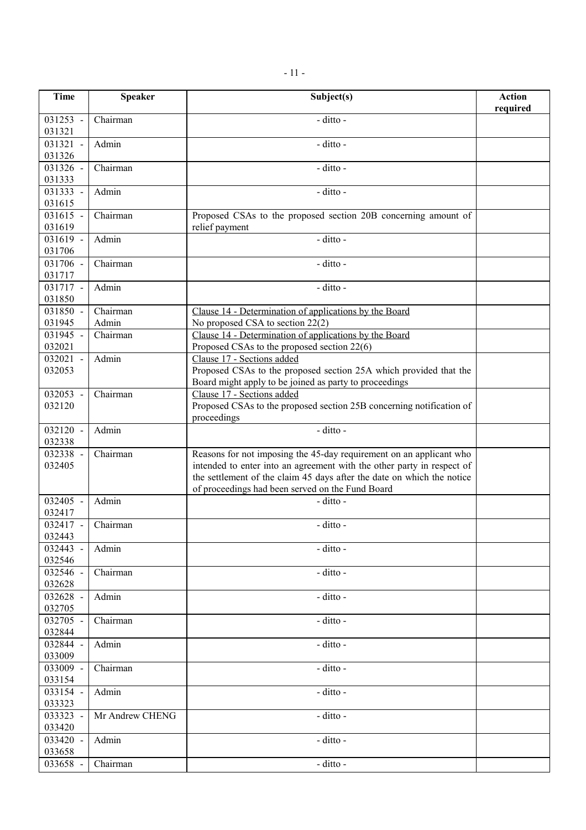| <b>Time</b>        | <b>Speaker</b>    | Subject(s)                                                                                                                                                                                                                                                                  | <b>Action</b><br>required |
|--------------------|-------------------|-----------------------------------------------------------------------------------------------------------------------------------------------------------------------------------------------------------------------------------------------------------------------------|---------------------------|
| 031253 -<br>031321 | Chairman          | - ditto -                                                                                                                                                                                                                                                                   |                           |
| 031321 -<br>031326 | Admin             | - ditto -                                                                                                                                                                                                                                                                   |                           |
| 031326 -<br>031333 | Chairman          | - ditto -                                                                                                                                                                                                                                                                   |                           |
| 031333 -<br>031615 | Admin             | - ditto -                                                                                                                                                                                                                                                                   |                           |
| 031615 -<br>031619 | Chairman          | Proposed CSAs to the proposed section 20B concerning amount of<br>relief payment                                                                                                                                                                                            |                           |
| 031619 -<br>031706 | Admin             | - ditto -                                                                                                                                                                                                                                                                   |                           |
| 031706 -<br>031717 | Chairman          | - ditto -                                                                                                                                                                                                                                                                   |                           |
| 031717 -<br>031850 | Admin             | - ditto -                                                                                                                                                                                                                                                                   |                           |
| 031850 -<br>031945 | Chairman<br>Admin | Clause 14 - Determination of applications by the Board<br>No proposed CSA to section 22(2)                                                                                                                                                                                  |                           |
| 031945 -<br>032021 | Chairman          | Clause 14 - Determination of applications by the Board<br>Proposed CSAs to the proposed section 22(6)                                                                                                                                                                       |                           |
| 032021 -<br>032053 | Admin             | Clause 17 - Sections added<br>Proposed CSAs to the proposed section 25A which provided that the<br>Board might apply to be joined as party to proceedings                                                                                                                   |                           |
| 032053 -<br>032120 | Chairman          | Clause 17 - Sections added<br>Proposed CSAs to the proposed section 25B concerning notification of<br>proceedings                                                                                                                                                           |                           |
| 032120 -<br>032338 | Admin             | - ditto -                                                                                                                                                                                                                                                                   |                           |
| 032338 -<br>032405 | Chairman          | Reasons for not imposing the 45-day requirement on an applicant who<br>intended to enter into an agreement with the other party in respect of<br>the settlement of the claim 45 days after the date on which the notice<br>of proceedings had been served on the Fund Board |                           |
| 032405 -<br>032417 | Admin             | - ditto -                                                                                                                                                                                                                                                                   |                           |
| 032417 -<br>032443 | Chairman          | - ditto -                                                                                                                                                                                                                                                                   |                           |
| 032443 -<br>032546 | Admin             | - ditto -                                                                                                                                                                                                                                                                   |                           |
| 032546 -<br>032628 | Chairman          | - ditto -                                                                                                                                                                                                                                                                   |                           |
| 032628 -<br>032705 | Admin             | - ditto -                                                                                                                                                                                                                                                                   |                           |
| 032705 -<br>032844 | Chairman          | - ditto -                                                                                                                                                                                                                                                                   |                           |
| 032844 -<br>033009 | Admin             | - ditto -                                                                                                                                                                                                                                                                   |                           |
| 033009 -<br>033154 | Chairman          | - ditto -                                                                                                                                                                                                                                                                   |                           |
| 033154 -<br>033323 | Admin             | - ditto -                                                                                                                                                                                                                                                                   |                           |
| 033323 -<br>033420 | Mr Andrew CHENG   | - ditto -                                                                                                                                                                                                                                                                   |                           |
| 033420 -<br>033658 | Admin             | - ditto -                                                                                                                                                                                                                                                                   |                           |
| 033658 -           | Chairman          | - ditto -                                                                                                                                                                                                                                                                   |                           |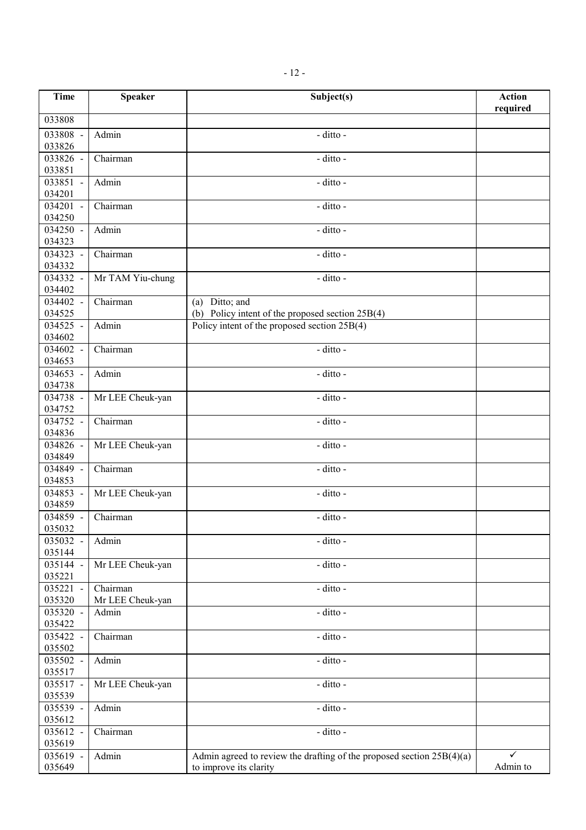| <b>Time</b>        | <b>Speaker</b>   | Subject(s)                                                              | <b>Action</b> |
|--------------------|------------------|-------------------------------------------------------------------------|---------------|
|                    |                  |                                                                         | required      |
| 033808             |                  |                                                                         |               |
| 033808 -           | Admin            | - ditto -                                                               |               |
| 033826             |                  |                                                                         |               |
| 033826 -<br>033851 | Chairman         | - ditto -                                                               |               |
| 033851 -           | Admin            | - ditto -                                                               |               |
| 034201             |                  |                                                                         |               |
| 034201 -           | Chairman         | - ditto -                                                               |               |
| 034250             |                  |                                                                         |               |
| 034250 -           | Admin            | - ditto -                                                               |               |
| 034323             |                  |                                                                         |               |
| 034323 -           | Chairman         | - ditto -                                                               |               |
| 034332             |                  |                                                                         |               |
| 034332 -<br>034402 | Mr TAM Yiu-chung | - ditto -                                                               |               |
| 034402 -           | Chairman         | (a) Ditto; and                                                          |               |
| 034525             |                  | (b) Policy intent of the proposed section 25B(4)                        |               |
| 034525 -           | Admin            | Policy intent of the proposed section 25B(4)                            |               |
| 034602             |                  |                                                                         |               |
| 034602 -           | Chairman         | - ditto -                                                               |               |
| 034653             |                  |                                                                         |               |
| 034653 -           | Admin            | - ditto -                                                               |               |
| 034738<br>034738 - | Mr LEE Cheuk-yan | - ditto -                                                               |               |
| 034752             |                  |                                                                         |               |
| 034752 -           | Chairman         | - ditto -                                                               |               |
| 034836             |                  |                                                                         |               |
| 034826 -           | Mr LEE Cheuk-yan | - ditto -                                                               |               |
| 034849             |                  |                                                                         |               |
| 034849 -           | Chairman         | - ditto -                                                               |               |
| 034853<br>034853 - | Mr LEE Cheuk-yan | - ditto -                                                               |               |
| 034859             |                  |                                                                         |               |
| 034859 -           | Chairman         | - ditto -                                                               |               |
| 035032             |                  |                                                                         |               |
| 035032 -           | Admin            | - ditto -                                                               |               |
| 035144             |                  |                                                                         |               |
| 035144 -           | Mr LEE Cheuk-yan | - ditto -                                                               |               |
| 035221<br>035221 - | Chairman         | - ditto -                                                               |               |
| 035320             | Mr LEE Cheuk-yan |                                                                         |               |
| 035320 -           | Admin            | - ditto -                                                               |               |
| 035422             |                  |                                                                         |               |
| 035422 -           | Chairman         | - ditto -                                                               |               |
| 035502             |                  |                                                                         |               |
| 035502 -           | Admin            | - ditto -                                                               |               |
| 035517             |                  |                                                                         |               |
| 035517 -<br>035539 | Mr LEE Cheuk-yan | - ditto -                                                               |               |
| 035539 -           | Admin            | - ditto -                                                               |               |
| 035612             |                  |                                                                         |               |
| 035612 -           | Chairman         | - ditto -                                                               |               |
| 035619             |                  |                                                                         |               |
| 035619 -           | Admin            | Admin agreed to review the drafting of the proposed section $25B(4)(a)$ | ✓             |
| 035649             |                  | to improve its clarity                                                  | Admin to      |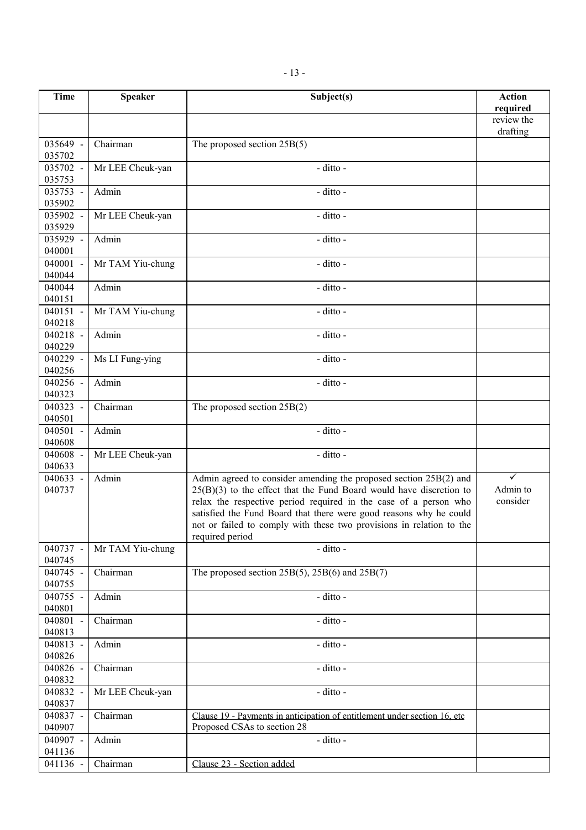| <b>Time</b>        | <b>Speaker</b>   | Subject(s)                                                                                                                             | <b>Action</b>        |
|--------------------|------------------|----------------------------------------------------------------------------------------------------------------------------------------|----------------------|
|                    |                  |                                                                                                                                        | required             |
|                    |                  |                                                                                                                                        | review the           |
|                    |                  |                                                                                                                                        | drafting             |
| 035649 -<br>035702 | Chairman         | The proposed section $25B(5)$                                                                                                          |                      |
| 035702 -           | Mr LEE Cheuk-yan | - ditto -                                                                                                                              |                      |
| 035753             |                  |                                                                                                                                        |                      |
| 035753 -           | Admin            | - ditto -                                                                                                                              |                      |
| 035902             |                  |                                                                                                                                        |                      |
| 035902 -           | Mr LEE Cheuk-yan | - ditto -                                                                                                                              |                      |
| 035929             |                  |                                                                                                                                        |                      |
| 035929 -           | Admin            | - ditto -                                                                                                                              |                      |
| 040001             |                  |                                                                                                                                        |                      |
| 040001 -           | Mr TAM Yiu-chung | - ditto -                                                                                                                              |                      |
| 040044             |                  |                                                                                                                                        |                      |
| 040044             | Admin            | - ditto -                                                                                                                              |                      |
| 040151             |                  |                                                                                                                                        |                      |
| 040151 -           | Mr TAM Yiu-chung | - ditto -                                                                                                                              |                      |
| 040218             |                  |                                                                                                                                        |                      |
| 040218 -           | Admin            | - ditto -                                                                                                                              |                      |
| 040229<br>040229 - | Ms LI Fung-ying  | - ditto -                                                                                                                              |                      |
| 040256             |                  |                                                                                                                                        |                      |
| 040256 -           | Admin            | - ditto -                                                                                                                              |                      |
| 040323             |                  |                                                                                                                                        |                      |
| 040323 -           | Chairman         | The proposed section $25B(2)$                                                                                                          |                      |
| 040501             |                  |                                                                                                                                        |                      |
| 040501 -           | Admin            | - ditto -                                                                                                                              |                      |
| 040608             |                  |                                                                                                                                        |                      |
| 040608 -           | Mr LEE Cheuk-yan | - ditto -                                                                                                                              |                      |
| 040633             |                  |                                                                                                                                        |                      |
| 040633 -           | Admin            | Admin agreed to consider amending the proposed section 25B(2) and                                                                      | ✓                    |
| 040737             |                  | $25(B)(3)$ to the effect that the Fund Board would have discretion to                                                                  | Admin to<br>consider |
|                    |                  | relax the respective period required in the case of a person who<br>satisfied the Fund Board that there were good reasons why he could |                      |
|                    |                  | not or failed to comply with these two provisions in relation to the                                                                   |                      |
|                    |                  | required period                                                                                                                        |                      |
| 040737 -           | Mr TAM Yiu-chung | - ditto -                                                                                                                              |                      |
| 040745             |                  |                                                                                                                                        |                      |
| 040745 -           | Chairman         | The proposed section $25B(5)$ , $25B(6)$ and $25B(7)$                                                                                  |                      |
| 040755             |                  |                                                                                                                                        |                      |
| 040755 -           | Admin            | - ditto -                                                                                                                              |                      |
| 040801             |                  |                                                                                                                                        |                      |
| 040801 -           | Chairman         | - ditto -                                                                                                                              |                      |
| 040813             |                  |                                                                                                                                        |                      |
| 040813 -           | Admin            | - ditto -                                                                                                                              |                      |
| 040826<br>040826 - | Chairman         | - ditto -                                                                                                                              |                      |
| 040832             |                  |                                                                                                                                        |                      |
| 040832 -           | Mr LEE Cheuk-yan | - ditto -                                                                                                                              |                      |
| 040837             |                  |                                                                                                                                        |                      |
| 040837 -           | Chairman         | Clause 19 - Payments in anticipation of entitlement under section 16, etc.                                                             |                      |
| 040907             |                  | Proposed CSAs to section 28                                                                                                            |                      |
| 040907 -           | Admin            | - ditto -                                                                                                                              |                      |
| 041136             |                  |                                                                                                                                        |                      |
| 041136             | Chairman         | Clause 23 - Section added                                                                                                              |                      |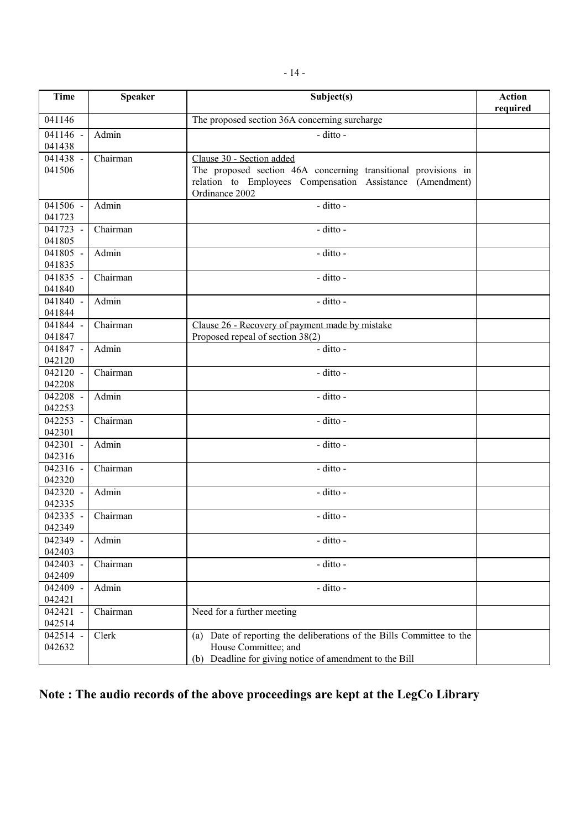| <b>Time</b>        | <b>Speaker</b>         | Subject(s)                                                                                                                                                                 | <b>Action</b><br>required |
|--------------------|------------------------|----------------------------------------------------------------------------------------------------------------------------------------------------------------------------|---------------------------|
| 041146             |                        | The proposed section 36A concerning surcharge                                                                                                                              |                           |
| 041146 -<br>041438 | Admin                  | - ditto -                                                                                                                                                                  |                           |
| 041438 -<br>041506 | Chairman               | Clause 30 - Section added<br>The proposed section 46A concerning transitional provisions in<br>relation to Employees Compensation Assistance (Amendment)<br>Ordinance 2002 |                           |
| 041506 -<br>041723 | Admin                  | - ditto -                                                                                                                                                                  |                           |
| 041723 -<br>041805 | $\overline{C}$ hairman | - ditto -                                                                                                                                                                  |                           |
| 041805 -<br>041835 | Admin                  | - ditto -                                                                                                                                                                  |                           |
| 041835 -<br>041840 | Chairman               | - ditto -                                                                                                                                                                  |                           |
| 041840 -<br>041844 | Admin                  | - ditto -                                                                                                                                                                  |                           |
| 041844 -<br>041847 | Chairman               | Clause 26 - Recovery of payment made by mistake<br>Proposed repeal of section 38(2)                                                                                        |                           |
| 041847 -<br>042120 | Admin                  | - ditto -                                                                                                                                                                  |                           |
| 042120 -<br>042208 | Chairman               | - ditto -                                                                                                                                                                  |                           |
| 042208 -<br>042253 | Admin                  | - ditto -                                                                                                                                                                  |                           |
| 042253 -<br>042301 | Chairman               | - ditto -                                                                                                                                                                  |                           |
| 042301 -<br>042316 | Admin                  | - ditto -                                                                                                                                                                  |                           |
| 042316 -<br>042320 | Chairman               | - ditto -                                                                                                                                                                  |                           |
| 042320 -<br>042335 | Admin                  | - ditto -                                                                                                                                                                  |                           |
| 042335 -<br>042349 | Chairman               | - ditto -                                                                                                                                                                  |                           |
| 042349 -<br>042403 | Admin                  | - ditto -                                                                                                                                                                  |                           |
| 042403 -<br>042409 | Chairman               | - ditto -                                                                                                                                                                  |                           |
| 042409 -<br>042421 | Admin                  | - ditto -                                                                                                                                                                  |                           |
| 042421 -<br>042514 | Chairman               | Need for a further meeting                                                                                                                                                 |                           |
| 042514 -<br>042632 | Clerk                  | (a) Date of reporting the deliberations of the Bills Committee to the<br>House Committee; and<br>Deadline for giving notice of amendment to the Bill<br>(b)                |                           |

# **Note : The audio records of the above proceedings are kept at the LegCo Library**